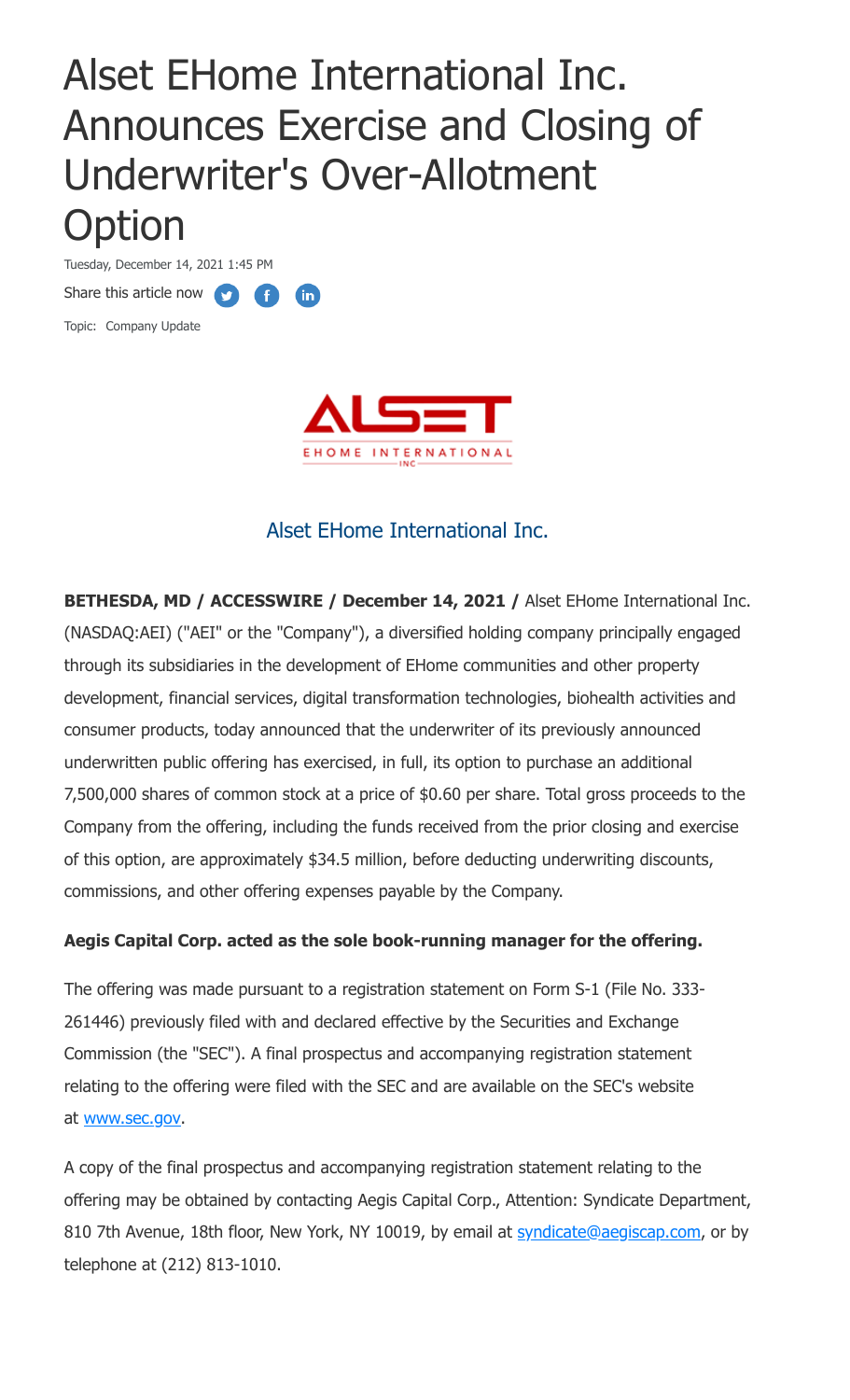# Alset EHome International Inc. Announces Exercise and Closing of Underwriter's Over-Allotment **Option**

Tuesday, December 14, 2021 1:45 PM

G

(in)

Share this article now  $\bullet$ 

Topic: Company Update



## Alset EHome International Inc.

**BETHESDA, MD / ACCESSWIRE / December 14, 2021 /** Alset EHome International Inc. (NASDAQ:AEI) ("AEI" or the "Company"), a diversified holding company principally engaged through its subsidiaries in the development of EHome communities and other property development, financial services, digital transformation technologies, biohealth activities and consumer products, today announced that the underwriter of its previously announced underwritten public offering has exercised, in full, its option to purchase an additional 7,500,000 shares of common stock at a price of \$0.60 per share. Total gross proceeds to the Company from the offering, including the funds received from the prior closing and exercise of this option, are approximately \$34.5 million, before deducting underwriting discounts, commissions, and other offering expenses payable by the Company.

### **Aegis Capital Corp. acted as the sole book-running manager for the offering.**

The offering was made pursuant to a registration statement on Form S-1 (File No. 333- 261446) previously filed with and declared effective by the Securities and Exchange Commission (the "SEC"). A final prospectus and accompanying registration statement relating to the offering were filed with the SEC and are available on the SEC's website at [www.sec.gov](https://pr.report/jqMnDXzv).

A copy of the final prospectus and accompanying registration statement relating to the offering may be obtained by contacting Aegis Capital Corp., Attention: Syndicate Department, 810 7th Avenue, 18th floor, New York, NY 10019, by email at [syndicate@aegiscap.com,](mailto:syndicate@aegiscap.com) or by telephone at (212) 813-1010.